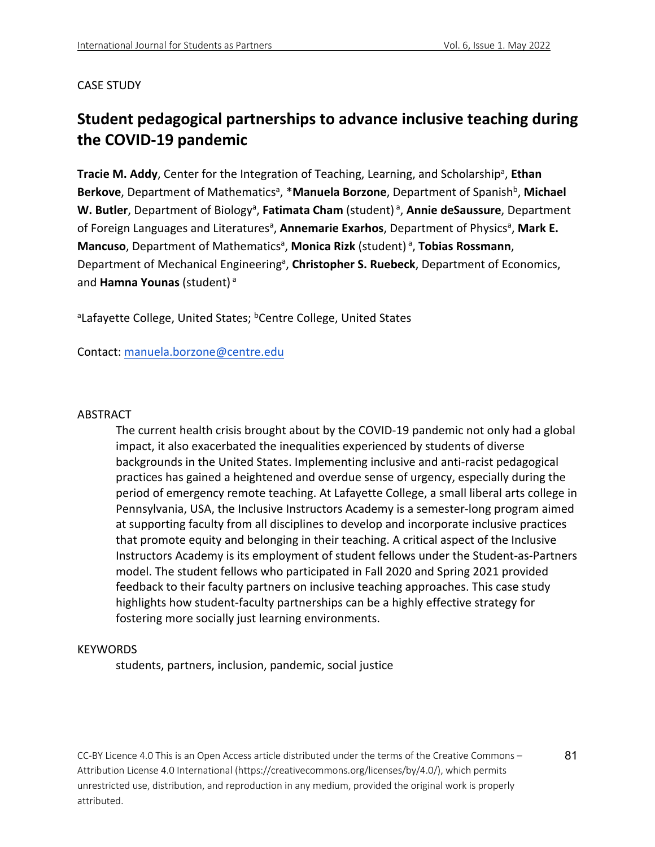#### CASE STUDY

# **Student pedagogical partnerships to advance inclusive teaching during the COVID-19 pandemic**

Tracie M. Addy, Center for the Integration of Teaching, Learning, and Scholarship<sup>a</sup>, Ethan Berkove, Department of Mathematics<sup>a</sup>, \*Manuela Borzone, Department of Spanish<sup>b</sup>, Michael W. Butler, Department of Biology<sup>a</sup>, Fatimata Cham (student)<sup>a</sup>, Annie deSaussure, Department of Foreign Languages and Literatures<sup>a</sup>, Annemarie Exarhos, Department of Physics<sup>a</sup>, Mark E. Mancuso, Department of Mathematics<sup>a</sup>, Monica Rizk (student)<sup>a</sup>, Tobias Rossmann, Department of Mechanical Engineering<sup>a</sup>, Christopher S. Ruebeck, Department of Economics, and **Hamna Younas** (student) <sup>a</sup>

<sup>a</sup>Lafayette College, United States; <sup>b</sup>Centre College, United States

Contact: manuela.borzone@centre.edu

#### **ABSTRACT**

The current health crisis brought about by the COVID-19 pandemic not only had a global impact, it also exacerbated the inequalities experienced by students of diverse backgrounds in the United States. Implementing inclusive and anti-racist pedagogical practices has gained a heightened and overdue sense of urgency, especially during the period of emergency remote teaching. At Lafayette College, a small liberal arts college in Pennsylvania, USA, the Inclusive Instructors Academy is a semester-long program aimed at supporting faculty from all disciplines to develop and incorporate inclusive practices that promote equity and belonging in their teaching. A critical aspect of the Inclusive Instructors Academy is its employment of student fellows under the Student-as-Partners model. The student fellows who participated in Fall 2020 and Spring 2021 provided feedback to their faculty partners on inclusive teaching approaches. This case study highlights how student-faculty partnerships can be a highly effective strategy for fostering more socially just learning environments.

#### KEYWORDS

students, partners, inclusion, pandemic, social justice

CC-BY Licence 4.0 This is an Open Access article distributed under the terms of the Creative Commons – Attribution License 4.0 International (https://creativecommons.org/licenses/by/4.0/), which permits unrestricted use, distribution, and reproduction in any medium, provided the original work is properly attributed.

81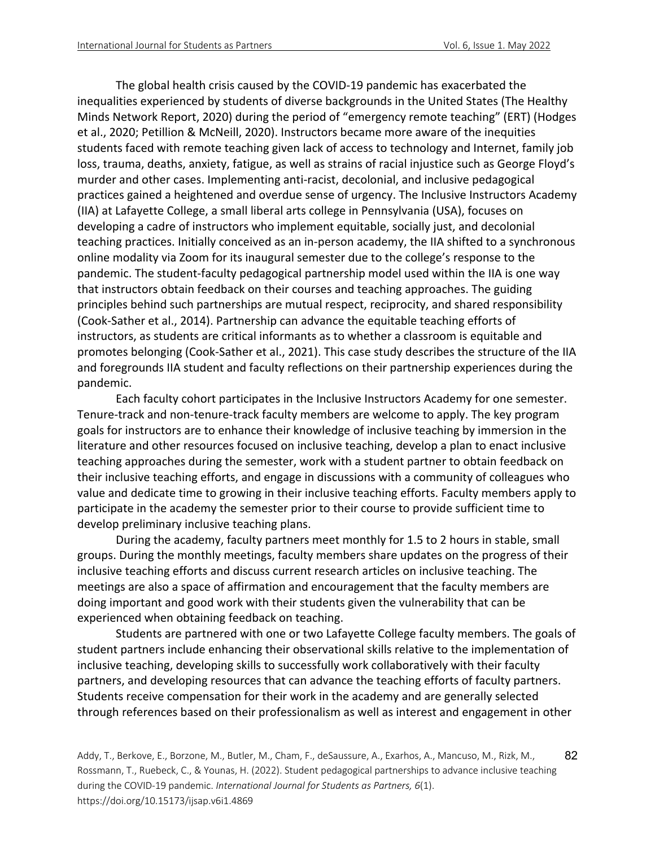The global health crisis caused by the COVID-19 pandemic has exacerbated the inequalities experienced by students of diverse backgrounds in the United States (The Healthy Minds Network Report, 2020) during the period of "emergency remote teaching" (ERT) (Hodges et al., 2020; Petillion & McNeill, 2020). Instructors became more aware of the inequities students faced with remote teaching given lack of access to technology and Internet, family job loss, trauma, deaths, anxiety, fatigue, as well as strains of racial injustice such as George Floyd's murder and other cases. Implementing anti-racist, decolonial, and inclusive pedagogical practices gained a heightened and overdue sense of urgency. The Inclusive Instructors Academy (IIA) at Lafayette College, a small liberal arts college in Pennsylvania (USA), focuses on developing a cadre of instructors who implement equitable, socially just, and decolonial teaching practices. Initially conceived as an in-person academy, the IIA shifted to a synchronous online modality via Zoom for its inaugural semester due to the college's response to the pandemic. The student-faculty pedagogical partnership model used within the IIA is one way that instructors obtain feedback on their courses and teaching approaches. The guiding principles behind such partnerships are mutual respect, reciprocity, and shared responsibility (Cook-Sather et al., 2014). Partnership can advance the equitable teaching efforts of instructors, as students are critical informants as to whether a classroom is equitable and promotes belonging (Cook-Sather et al., 2021). This case study describes the structure of the IIA and foregrounds IIA student and faculty reflections on their partnership experiences during the pandemic.

Each faculty cohort participates in the Inclusive Instructors Academy for one semester. Tenure-track and non-tenure-track faculty members are welcome to apply. The key program goals for instructors are to enhance their knowledge of inclusive teaching by immersion in the literature and other resources focused on inclusive teaching, develop a plan to enact inclusive teaching approaches during the semester, work with a student partner to obtain feedback on their inclusive teaching efforts, and engage in discussions with a community of colleagues who value and dedicate time to growing in their inclusive teaching efforts. Faculty members apply to participate in the academy the semester prior to their course to provide sufficient time to develop preliminary inclusive teaching plans.

During the academy, faculty partners meet monthly for 1.5 to 2 hours in stable, small groups. During the monthly meetings, faculty members share updates on the progress of their inclusive teaching efforts and discuss current research articles on inclusive teaching. The meetings are also a space of affirmation and encouragement that the faculty members are doing important and good work with their students given the vulnerability that can be experienced when obtaining feedback on teaching.

Students are partnered with one or two Lafayette College faculty members. The goals of student partners include enhancing their observational skills relative to the implementation of inclusive teaching, developing skills to successfully work collaboratively with their faculty partners, and developing resources that can advance the teaching efforts of faculty partners. Students receive compensation for their work in the academy and are generally selected through references based on their professionalism as well as interest and engagement in other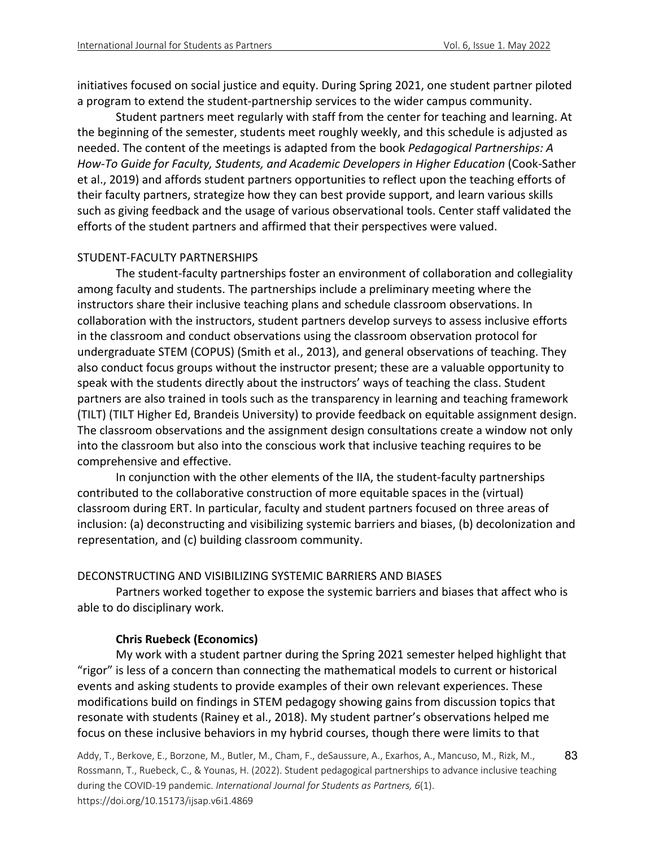initiatives focused on social justice and equity. During Spring 2021, one student partner piloted a program to extend the student-partnership services to the wider campus community.

Student partners meet regularly with staff from the center for teaching and learning. At the beginning of the semester, students meet roughly weekly, and this schedule is adjusted as needed. The content of the meetings is adapted from the book *Pedagogical Partnerships: A How-To Guide for Faculty, Students, and Academic Developers in Higher Education* (Cook-Sather et al., 2019) and affords student partners opportunities to reflect upon the teaching efforts of their faculty partners, strategize how they can best provide support, and learn various skills such as giving feedback and the usage of various observational tools. Center staff validated the efforts of the student partners and affirmed that their perspectives were valued.

#### STUDENT-FACULTY PARTNERSHIPS

The student-faculty partnerships foster an environment of collaboration and collegiality among faculty and students. The partnerships include a preliminary meeting where the instructors share their inclusive teaching plans and schedule classroom observations. In collaboration with the instructors, student partners develop surveys to assess inclusive efforts in the classroom and conduct observations using the classroom observation protocol for undergraduate STEM (COPUS) (Smith et al., 2013), and general observations of teaching. They also conduct focus groups without the instructor present; these are a valuable opportunity to speak with the students directly about the instructors' ways of teaching the class. Student partners are also trained in tools such as the transparency in learning and teaching framework (TILT) (TILT Higher Ed, Brandeis University) to provide feedback on equitable assignment design. The classroom observations and the assignment design consultations create a window not only into the classroom but also into the conscious work that inclusive teaching requires to be comprehensive and effective.

In conjunction with the other elements of the IIA, the student-faculty partnerships contributed to the collaborative construction of more equitable spaces in the (virtual) classroom during ERT. In particular, faculty and student partners focused on three areas of inclusion: (a) deconstructing and visibilizing systemic barriers and biases, (b) decolonization and representation, and (c) building classroom community.

#### DECONSTRUCTING AND VISIBILIZING SYSTEMIC BARRIERS AND BIASES

Partners worked together to expose the systemic barriers and biases that affect who is able to do disciplinary work.

#### **Chris Ruebeck (Economics)**

My work with a student partner during the Spring 2021 semester helped highlight that "rigor" is less of a concern than connecting the mathematical models to current or historical events and asking students to provide examples of their own relevant experiences. These modifications build on findings in STEM pedagogy showing gains from discussion topics that resonate with students (Rainey et al., 2018). My student partner's observations helped me focus on these inclusive behaviors in my hybrid courses, though there were limits to that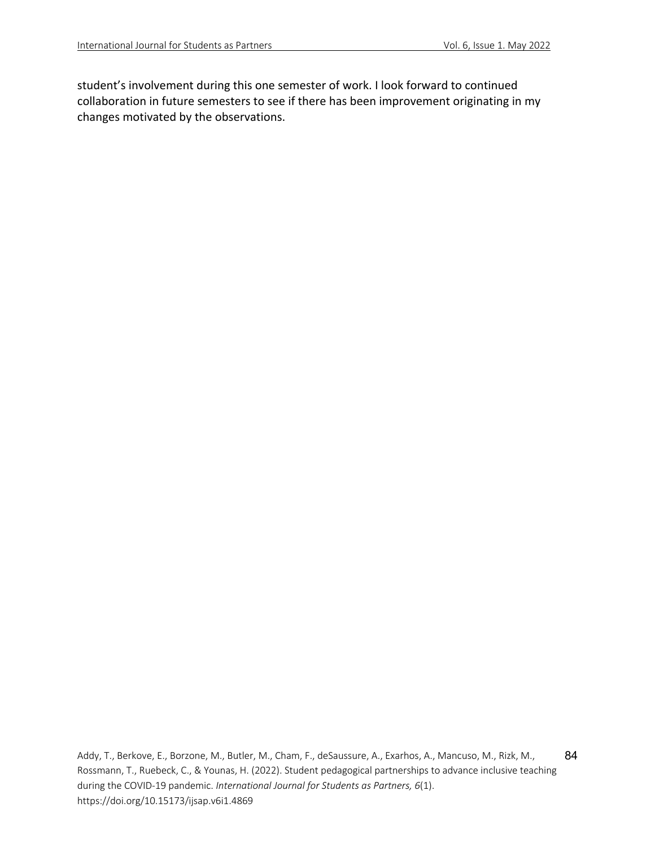student's involvement during this one semester of work. I look forward to continued collaboration in future semesters to see if there has been improvement originating in my changes motivated by the observations.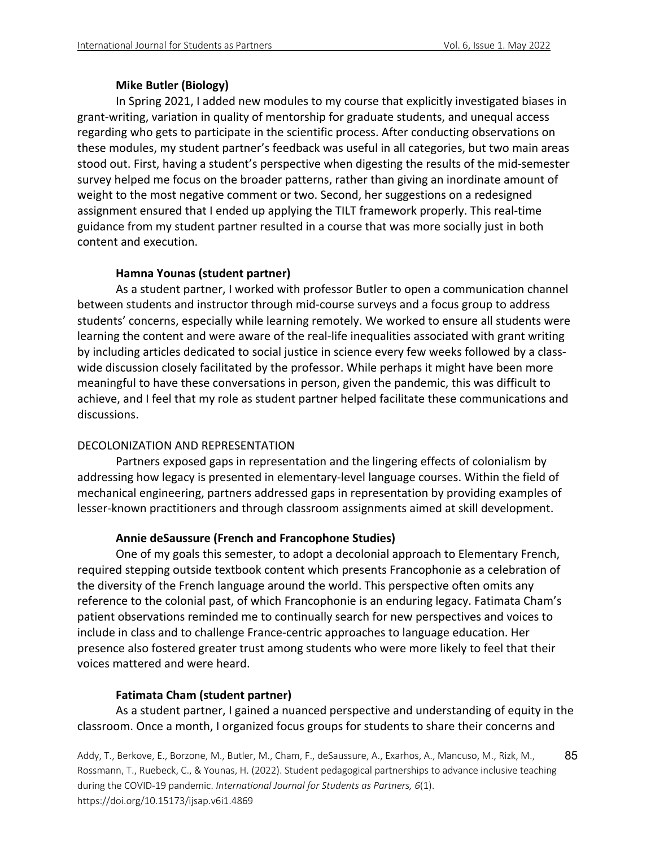### **Mike Butler (Biology)**

In Spring 2021, I added new modules to my course that explicitly investigated biases in grant-writing, variation in quality of mentorship for graduate students, and unequal access regarding who gets to participate in the scientific process. After conducting observations on these modules, my student partner's feedback was useful in all categories, but two main areas stood out. First, having a student's perspective when digesting the results of the mid-semester survey helped me focus on the broader patterns, rather than giving an inordinate amount of weight to the most negative comment or two. Second, her suggestions on a redesigned assignment ensured that I ended up applying the TILT framework properly. This real-time guidance from my student partner resulted in a course that was more socially just in both content and execution.

# **Hamna Younas (student partner)**

As a student partner, I worked with professor Butler to open a communication channel between students and instructor through mid-course surveys and a focus group to address students' concerns, especially while learning remotely. We worked to ensure all students were learning the content and were aware of the real-life inequalities associated with grant writing by including articles dedicated to social justice in science every few weeks followed by a classwide discussion closely facilitated by the professor. While perhaps it might have been more meaningful to have these conversations in person, given the pandemic, this was difficult to achieve, and I feel that my role as student partner helped facilitate these communications and discussions.

#### DECOLONIZATION AND REPRESENTATION

Partners exposed gaps in representation and the lingering effects of colonialism by addressing how legacy is presented in elementary-level language courses. Within the field of mechanical engineering, partners addressed gaps in representation by providing examples of lesser-known practitioners and through classroom assignments aimed at skill development.

# **Annie deSaussure (French and Francophone Studies)**

One of my goals this semester, to adopt a decolonial approach to Elementary French, required stepping outside textbook content which presents Francophonie as a celebration of the diversity of the French language around the world. This perspective often omits any reference to the colonial past, of which Francophonie is an enduring legacy. Fatimata Cham's patient observations reminded me to continually search for new perspectives and voices to include in class and to challenge France-centric approaches to language education. Her presence also fostered greater trust among students who were more likely to feel that their voices mattered and were heard.

# **Fatimata Cham (student partner)**

As a student partner, I gained a nuanced perspective and understanding of equity in the classroom. Once a month, I organized focus groups for students to share their concerns and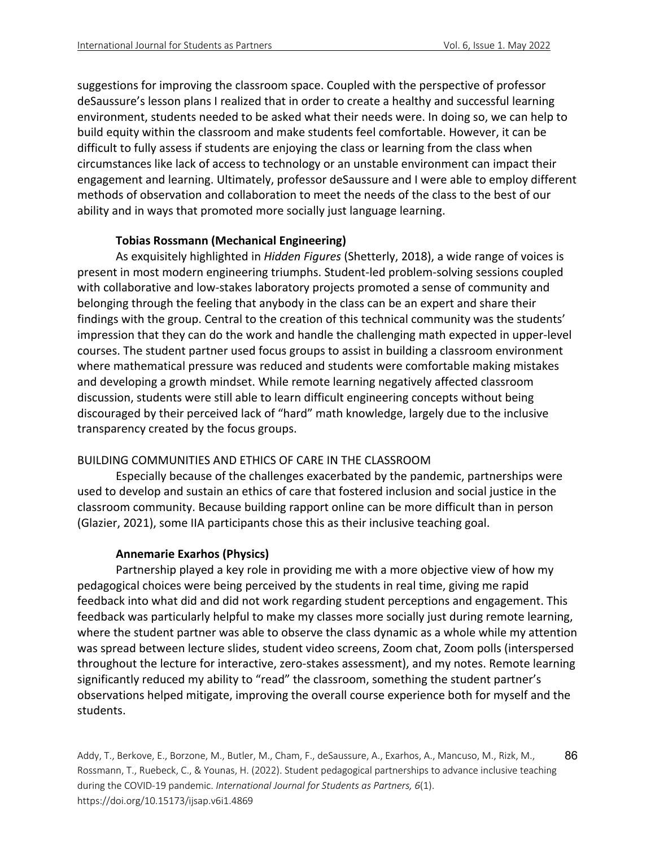suggestions for improving the classroom space. Coupled with the perspective of professor deSaussure's lesson plans I realized that in order to create a healthy and successful learning environment, students needed to be asked what their needs were. In doing so, we can help to build equity within the classroom and make students feel comfortable. However, it can be difficult to fully assess if students are enjoying the class or learning from the class when circumstances like lack of access to technology or an unstable environment can impact their engagement and learning. Ultimately, professor deSaussure and I were able to employ different methods of observation and collaboration to meet the needs of the class to the best of our ability and in ways that promoted more socially just language learning.

### **Tobias Rossmann (Mechanical Engineering)**

As exquisitely highlighted in *Hidden Figures* (Shetterly, 2018), a wide range of voices is present in most modern engineering triumphs. Student-led problem-solving sessions coupled with collaborative and low-stakes laboratory projects promoted a sense of community and belonging through the feeling that anybody in the class can be an expert and share their findings with the group. Central to the creation of this technical community was the students' impression that they can do the work and handle the challenging math expected in upper-level courses. The student partner used focus groups to assist in building a classroom environment where mathematical pressure was reduced and students were comfortable making mistakes and developing a growth mindset. While remote learning negatively affected classroom discussion, students were still able to learn difficult engineering concepts without being discouraged by their perceived lack of "hard" math knowledge, largely due to the inclusive transparency created by the focus groups.

# BUILDING COMMUNITIES AND ETHICS OF CARE IN THE CLASSROOM

Especially because of the challenges exacerbated by the pandemic, partnerships were used to develop and sustain an ethics of care that fostered inclusion and social justice in the classroom community. Because building rapport online can be more difficult than in person (Glazier, 2021), some IIA participants chose this as their inclusive teaching goal.

#### **Annemarie Exarhos (Physics)**

Partnership played a key role in providing me with a more objective view of how my pedagogical choices were being perceived by the students in real time, giving me rapid feedback into what did and did not work regarding student perceptions and engagement. This feedback was particularly helpful to make my classes more socially just during remote learning, where the student partner was able to observe the class dynamic as a whole while my attention was spread between lecture slides, student video screens, Zoom chat, Zoom polls (interspersed throughout the lecture for interactive, zero-stakes assessment), and my notes. Remote learning significantly reduced my ability to "read" the classroom, something the student partner's observations helped mitigate, improving the overall course experience both for myself and the students.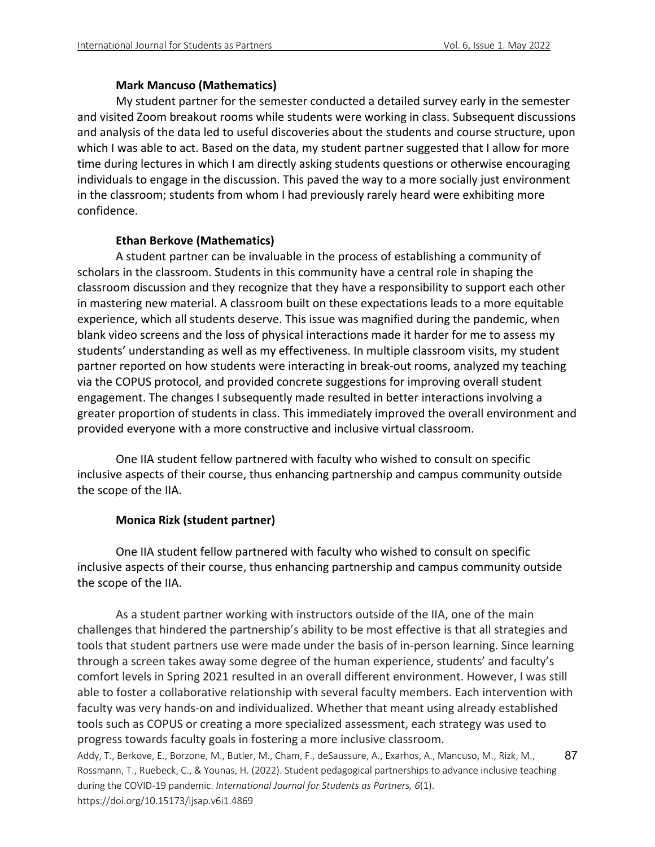### **Mark Mancuso (Mathematics)**

My student partner for the semester conducted a detailed survey early in the semester and visited Zoom breakout rooms while students were working in class. Subsequent discussions and analysis of the data led to useful discoveries about the students and course structure, upon which I was able to act. Based on the data, my student partner suggested that I allow for more time during lectures in which I am directly asking students questions or otherwise encouraging individuals to engage in the discussion. This paved the way to a more socially just environment in the classroom; students from whom I had previously rarely heard were exhibiting more confidence.

# **Ethan Berkove (Mathematics)**

A student partner can be invaluable in the process of establishing a community of scholars in the classroom. Students in this community have a central role in shaping the classroom discussion and they recognize that they have a responsibility to support each other in mastering new material. A classroom built on these expectations leads to a more equitable experience, which all students deserve. This issue was magnified during the pandemic, when blank video screens and the loss of physical interactions made it harder for me to assess my students' understanding as well as my effectiveness. In multiple classroom visits, my student partner reported on how students were interacting in break-out rooms, analyzed my teaching via the COPUS protocol, and provided concrete suggestions for improving overall student engagement. The changes I subsequently made resulted in better interactions involving a greater proportion of students in class. This immediately improved the overall environment and provided everyone with a more constructive and inclusive virtual classroom.

One IIA student fellow partnered with faculty who wished to consult on specific inclusive aspects of their course, thus enhancing partnership and campus community outside the scope of the IIA.

# **Monica Rizk (student partner)**

One IIA student fellow partnered with faculty who wished to consult on specific inclusive aspects of their course, thus enhancing partnership and campus community outside the scope of the IIA.

Addy, T., Berkove, E., Borzone, M., Butler, M., Cham, F., deSaussure, A., Exarhos, A., Mancuso, M., Rizk, M., Rossmann, T., Ruebeck, C., & Younas, H. (2022). Student pedagogical partnerships to advance inclusive teaching during the COVID-19 pandemic. *International Journal for Students as Partners, 6*(1). 87 As a student partner working with instructors outside of the IIA, one of the main challenges that hindered the partnership's ability to be most effective is that all strategies and tools that student partners use were made under the basis of in-person learning. Since learning through a screen takes away some degree of the human experience, students' and faculty's comfort levels in Spring 2021 resulted in an overall different environment. However, I was still able to foster a collaborative relationship with several faculty members. Each intervention with faculty was very hands-on and individualized. Whether that meant using already established tools such as COPUS or creating a more specialized assessment, each strategy was used to progress towards faculty goals in fostering a more inclusive classroom.

https://doi.org/10.15173/ijsap.v6i1.4869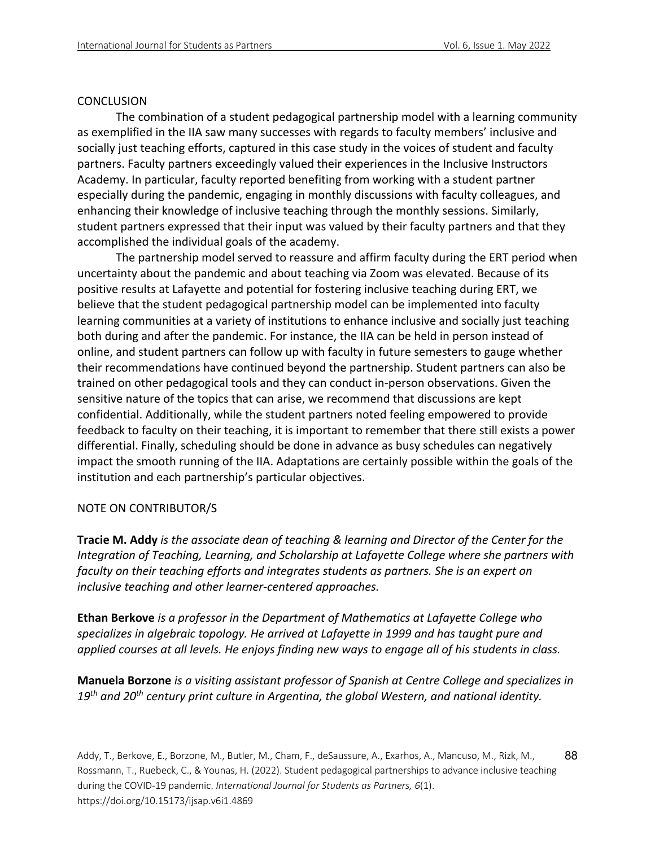#### **CONCLUSION**

The combination of a student pedagogical partnership model with a learning community as exemplified in the IIA saw many successes with regards to faculty members' inclusive and socially just teaching efforts, captured in this case study in the voices of student and faculty partners. Faculty partners exceedingly valued their experiences in the Inclusive Instructors Academy. In particular, faculty reported benefiting from working with a student partner especially during the pandemic, engaging in monthly discussions with faculty colleagues, and enhancing their knowledge of inclusive teaching through the monthly sessions. Similarly, student partners expressed that their input was valued by their faculty partners and that they accomplished the individual goals of the academy.

The partnership model served to reassure and affirm faculty during the ERT period when uncertainty about the pandemic and about teaching via Zoom was elevated. Because of its positive results at Lafayette and potential for fostering inclusive teaching during ERT, we believe that the student pedagogical partnership model can be implemented into faculty learning communities at a variety of institutions to enhance inclusive and socially just teaching both during and after the pandemic. For instance, the IIA can be held in person instead of online, and student partners can follow up with faculty in future semesters to gauge whether their recommendations have continued beyond the partnership. Student partners can also be trained on other pedagogical tools and they can conduct in-person observations. Given the sensitive nature of the topics that can arise, we recommend that discussions are kept confidential. Additionally, while the student partners noted feeling empowered to provide feedback to faculty on their teaching, it is important to remember that there still exists a power differential. Finally, scheduling should be done in advance as busy schedules can negatively impact the smooth running of the IIA. Adaptations are certainly possible within the goals of the institution and each partnership's particular objectives.

# NOTE ON CONTRIBUTOR/S

**Tracie M. Addy** *is the associate dean of teaching & learning and Director of the Center for the Integration of Teaching, Learning, and Scholarship at Lafayette College where she partners with faculty on their teaching efforts and integrates students as partners. She is an expert on inclusive teaching and other learner-centered approaches.*

**Ethan Berkove** *is a professor in the Department of Mathematics at Lafayette College who specializes in algebraic topology. He arrived at Lafayette in 1999 and has taught pure and applied courses at all levels. He enjoys finding new ways to engage all of his students in class.*

**Manuela Borzone** *is a visiting assistant professor of Spanish at Centre College and specializes in 19th and 20th century print culture in Argentina, the global Western, and national identity.*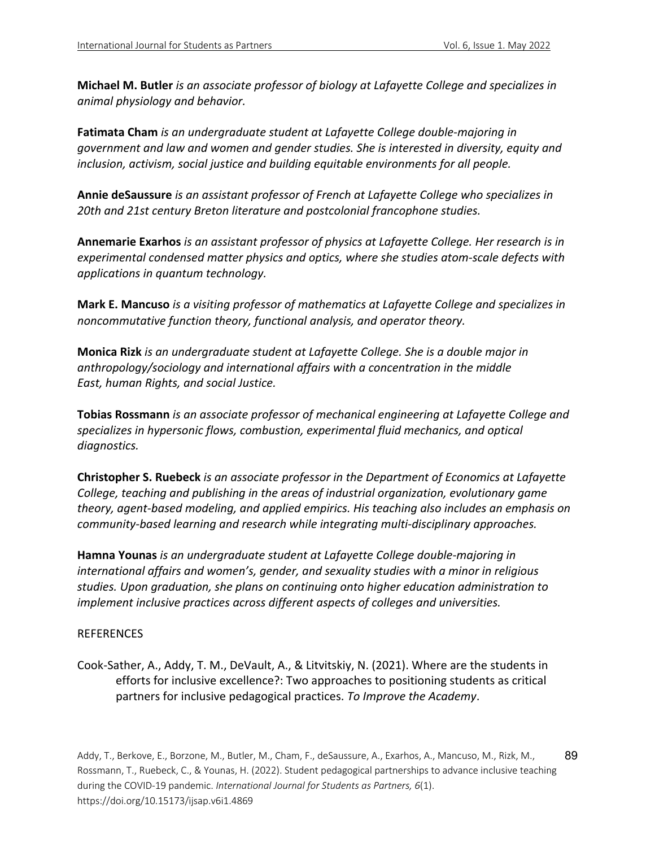**Michael M. Butler** *is an associate professor of biology at Lafayette College and specializes in animal physiology and behavior.*

**Fatimata Cham** *is an undergraduate student at Lafayette College double-majoring in government and law and women and gender studies. She is interested in diversity, equity and inclusion, activism, social justice and building equitable environments for all people.*

**Annie deSaussure** *is an assistant professor of French at Lafayette College who specializes in 20th and 21st century Breton literature and postcolonial francophone studies.*

**Annemarie Exarhos** *is an assistant professor of physics at Lafayette College. Her research is in experimental condensed matter physics and optics, where she studies atom-scale defects with applications in quantum technology.*

**Mark E. Mancuso** *is a visiting professor of mathematics at Lafayette College and specializes in noncommutative function theory, functional analysis, and operator theory.*

**Monica Rizk** *is an undergraduate student at Lafayette College. She is a double major in anthropology/sociology and international affairs with a concentration in the middle East, human Rights, and social Justice.*

**Tobias Rossmann** *is an associate professor of mechanical engineering at Lafayette College and specializes in hypersonic flows, combustion, experimental fluid mechanics, and optical diagnostics.*

**Christopher S. Ruebeck** *is an associate professor in the Department of Economics at Lafayette College, teaching and publishing in the areas of industrial organization, evolutionary game theory, agent-based modeling, and applied empirics. His teaching also includes an emphasis on community-based learning and research while integrating multi-disciplinary approaches.*

**Hamna Younas** *is an undergraduate student at Lafayette College double-majoring in international affairs and women's, gender, and sexuality studies with a minor in religious studies. Upon graduation, she plans on continuing onto higher education administration to implement inclusive practices across different aspects of colleges and universities.*

# REFERENCES

Cook-Sather, A., Addy, T. M., DeVault, A., & Litvitskiy, N. (2021). Where are the students in efforts for inclusive excellence?: Two approaches to positioning students as critical partners for inclusive pedagogical practices. *To Improve the Academy*.